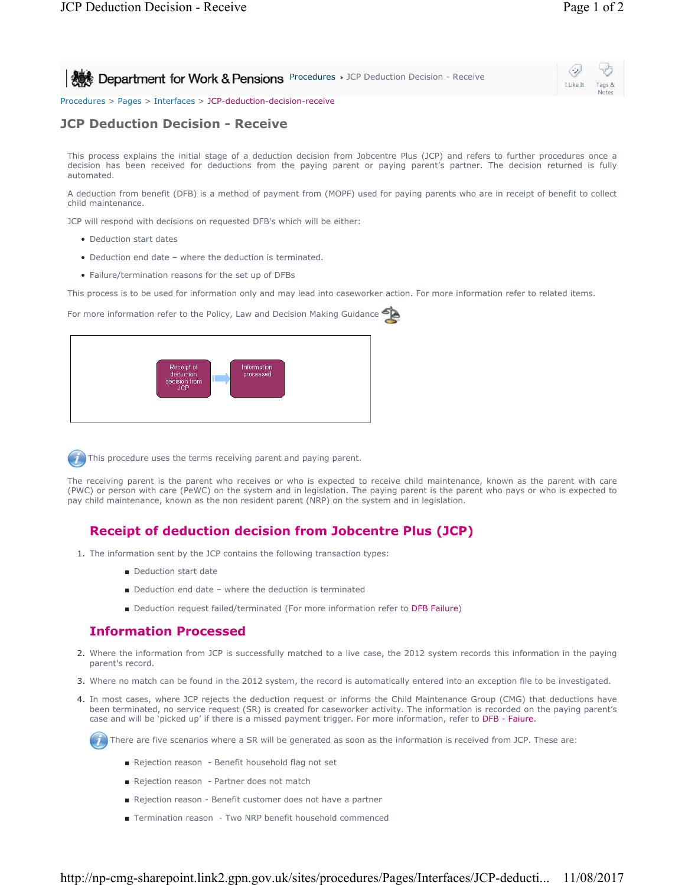⇔ **Procedures JCP Department for Work & Pensions** Procedures JCP Deduction Decision - Receive I Like It Notes Procedures > Pages > Interfaces > JCP-deduction-decision-receive

## **JCP Deduction Decision - Receive**

This process explains the initial stage of a deduction decision from Jobcentre Plus (JCP) and refers to further procedures once a decision has been received for deductions from the paying parent or paying parent's partner. The decision returned is fully automated.

A deduction from benefit (DFB) is a method of payment from (MOPF) used for paying parents who are in receipt of benefit to collect child maintenance.

JCP will respond with decisions on requested DFB's which will be either:

- Deduction start dates
- Deduction end date where the deduction is terminated.
- Failure/termination reasons for the set up of DFBs

This process is to be used for information only and may lead into caseworker action. For more information refer to related items.

For more information refer to the Policy, Law and Decision Making Guidance

|  |  | Receipt of<br>deduction<br>decision from<br><b>JCP</b> | Information<br>processed |  |
|--|--|--------------------------------------------------------|--------------------------|--|
|--|--|--------------------------------------------------------|--------------------------|--|



The receiving parent is the parent who receives or who is expected to receive child maintenance, known as the parent with care (PWC) or person with care (PeWC) on the system and in legislation. The paying parent is the parent who pays or who is expected to pay child maintenance, known as the non resident parent (NRP) on the system and in legislation.

## **Receipt of deduction decision from Jobcentre Plus (JCP)**

- 1. The information sent by the JCP contains the following transaction types:
	- Deduction start date
	- Deduction end date where the deduction is terminated
	- Deduction request failed/terminated (For more information refer to DFB Failure)

## **Information Processed**

- 2. Where the information from JCP is successfully matched to a live case, the 2012 system records this information in the paying parent's record.
- 3. Where no match can be found in the 2012 system, the record is automatically entered into an exception file to be investigated.
- 4. In most cases, where JCP rejects the deduction request or informs the Child Maintenance Group (CMG) that deductions have been terminated, no service request (SR) is created for caseworker activity. The information is recorded on the paying parent's case and will be 'picked up' if there is a missed payment trigger. For more information, refer to DFB - Faiure.

There are five scenarios where a SR will be generated as soon as the information is received from JCP. These are:

- Rejection reason Benefit household flag not set
- Rejection reason Partner does not match
- Rejection reason Benefit customer does not have a partner
- Termination reason Two NRP benefit household commenced